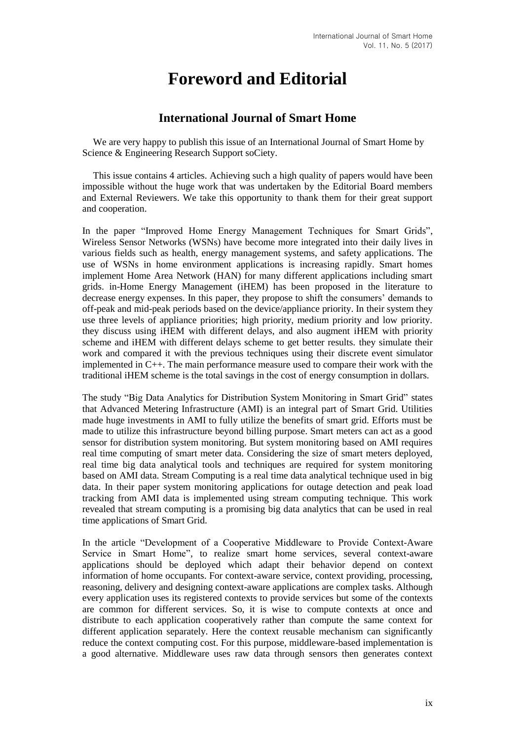## **Foreword and Editorial**

## **International Journal of Smart Home**

We are very happy to publish this issue of an International Journal of Smart Home by Science & Engineering Research Support soCiety.

This issue contains 4 articles. Achieving such a high quality of papers would have been impossible without the huge work that was undertaken by the Editorial Board members and External Reviewers. We take this opportunity to thank them for their great support and cooperation.

In the paper "Improved Home Energy Management Techniques for Smart Grids", Wireless Sensor Networks (WSNs) have become more integrated into their daily lives in various fields such as health, energy management systems, and safety applications. The use of WSNs in home environment applications is increasing rapidly. Smart homes implement Home Area Network (HAN) for many different applications including smart grids. in-Home Energy Management (iHEM) has been proposed in the literature to decrease energy expenses. In this paper, they propose to shift the consumers' demands to off-peak and mid-peak periods based on the device/appliance priority. In their system they use three levels of appliance priorities; high priority, medium priority and low priority. they discuss using iHEM with different delays, and also augment iHEM with priority scheme and iHEM with different delays scheme to get better results. they simulate their work and compared it with the previous techniques using their discrete event simulator implemented in C++. The main performance measure used to compare their work with the traditional iHEM scheme is the total savings in the cost of energy consumption in dollars.

The study "Big Data Analytics for Distribution System Monitoring in Smart Grid" states that Advanced Metering Infrastructure (AMI) is an integral part of Smart Grid. Utilities made huge investments in AMI to fully utilize the benefits of smart grid. Efforts must be made to utilize this infrastructure beyond billing purpose. Smart meters can act as a good sensor for distribution system monitoring. But system monitoring based on AMI requires real time computing of smart meter data. Considering the size of smart meters deployed, real time big data analytical tools and techniques are required for system monitoring based on AMI data. Stream Computing is a real time data analytical technique used in big data. In their paper system monitoring applications for outage detection and peak load tracking from AMI data is implemented using stream computing technique. This work revealed that stream computing is a promising big data analytics that can be used in real time applications of Smart Grid.

In the article "Development of a Cooperative Middleware to Provide Context-Aware Service in Smart Home", to realize smart home services, several context-aware applications should be deployed which adapt their behavior depend on context information of home occupants. For context-aware service, context providing, processing, reasoning, delivery and designing context-aware applications are complex tasks. Although every application uses its registered contexts to provide services but some of the contexts are common for different services. So, it is wise to compute contexts at once and distribute to each application cooperatively rather than compute the same context for different application separately. Here the context reusable mechanism can significantly reduce the context computing cost. For this purpose, middleware-based implementation is a good alternative. Middleware uses raw data through sensors then generates context